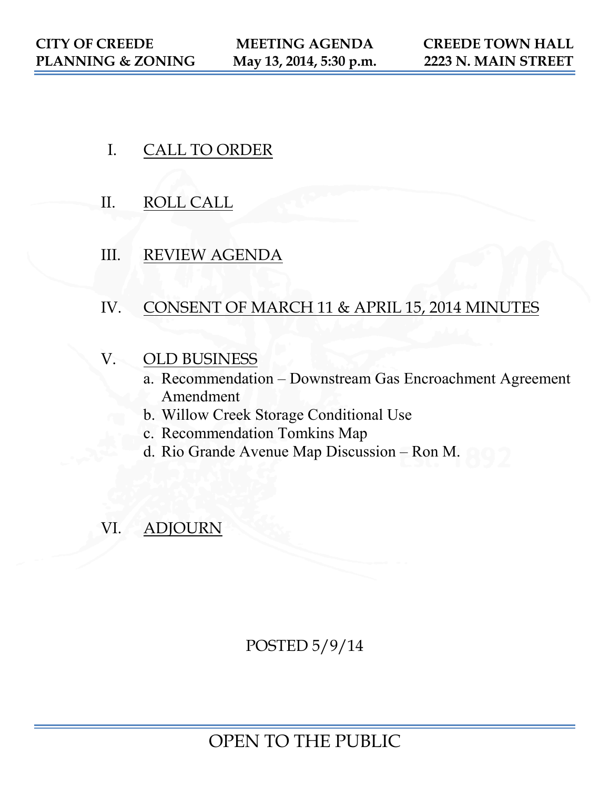- I. CALL TO ORDER
- II. ROLL CALL
- III. REVIEW AGENDA
- IV. CONSENT OF MARCH 11 & APRIL 15, 2014 MINUTES
- V. OLD BUSINESS
	- a. Recommendation Downstream Gas Encroachment Agreement Amendment
	- b. Willow Creek Storage Conditional Use
	- c. Recommendation Tomkins Map
	- d. Rio Grande Avenue Map Discussion Ron M.
- VI. ADJOURN

POSTED 5/9/14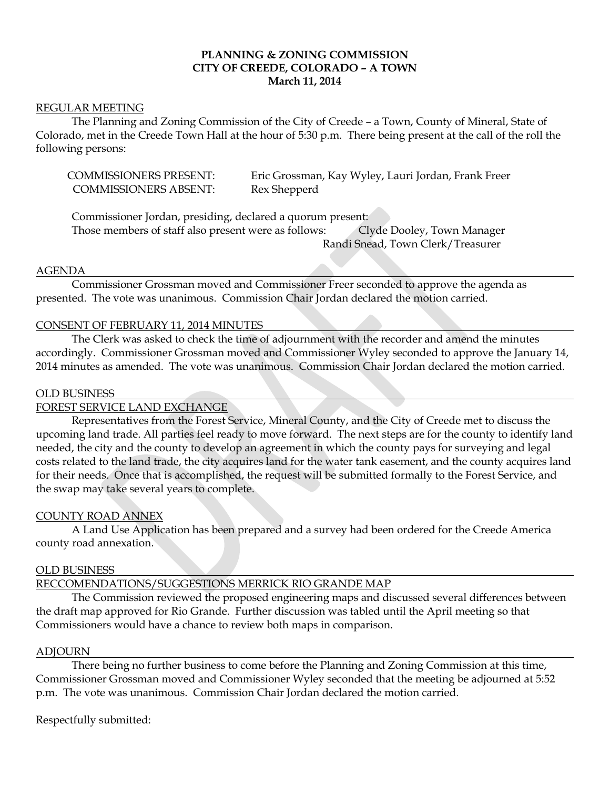## **PLANNING & ZONING COMMISSION CITY OF CREEDE, COLORADO – A TOWN March 11, 2014**

### REGULAR MEETING

The Planning and Zoning Commission of the City of Creede – a Town, County of Mineral, State of Colorado, met in the Creede Town Hall at the hour of 5:30 p.m. There being present at the call of the roll the following persons:

| <b>COMMISSIONERS PRESENT:</b> | Eric Grossman, Kay Wyley, Lauri Jordan, Frank Freer |
|-------------------------------|-----------------------------------------------------|
| <b>COMMISSIONERS ABSENT:</b>  | Rex Shepperd                                        |

Commissioner Jordan, presiding, declared a quorum present: Those members of staff also present were as follows: Clyde Dooley, Town Manager Randi Snead, Town Clerk/Treasurer

### AGENDA

Commissioner Grossman moved and Commissioner Freer seconded to approve the agenda as presented. The vote was unanimous. Commission Chair Jordan declared the motion carried.

## CONSENT OF FEBRUARY 11, 2014 MINUTES

The Clerk was asked to check the time of adjournment with the recorder and amend the minutes accordingly. Commissioner Grossman moved and Commissioner Wyley seconded to approve the January 14, 2014 minutes as amended. The vote was unanimous. Commission Chair Jordan declared the motion carried.

#### OLD BUSINESS

### FOREST SERVICE LAND EXCHANGE

Representatives from the Forest Service, Mineral County, and the City of Creede met to discuss the upcoming land trade. All parties feel ready to move forward. The next steps are for the county to identify land needed, the city and the county to develop an agreement in which the county pays for surveying and legal costs related to the land trade, the city acquires land for the water tank easement, and the county acquires land for their needs. Once that is accomplished, the request will be submitted formally to the Forest Service, and the swap may take several years to complete.

### COUNTY ROAD ANNEX

A Land Use Application has been prepared and a survey had been ordered for the Creede America county road annexation.

### OLD BUSINESS

# RECCOMENDATIONS/SUGGESTIONS MERRICK RIO GRANDE MAP

The Commission reviewed the proposed engineering maps and discussed several differences between the draft map approved for Rio Grande. Further discussion was tabled until the April meeting so that Commissioners would have a chance to review both maps in comparison.

### ADJOURN

There being no further business to come before the Planning and Zoning Commission at this time, Commissioner Grossman moved and Commissioner Wyley seconded that the meeting be adjourned at 5:52 p.m. The vote was unanimous. Commission Chair Jordan declared the motion carried.

Respectfully submitted: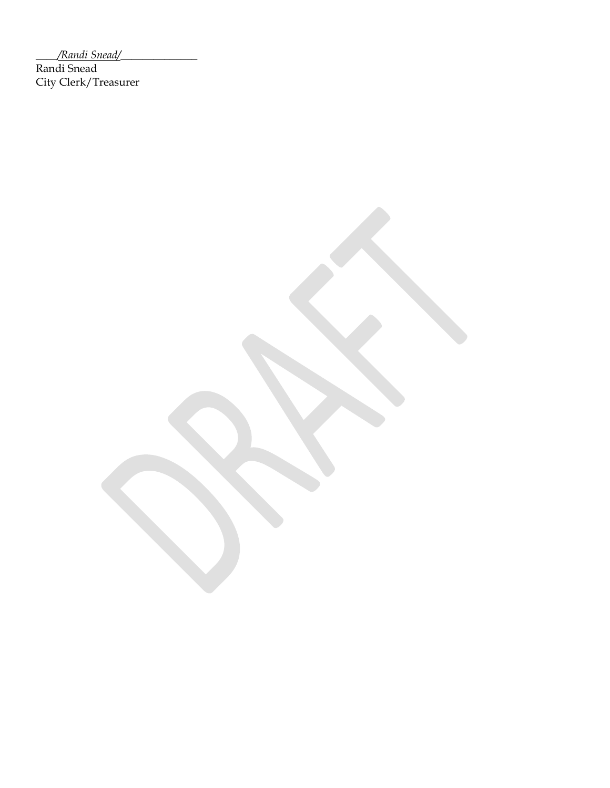\_\_\_\_*/Randi Snead/*\_\_\_\_\_\_\_\_\_\_\_\_\_\_

Randi Snead City Clerk/Treasurer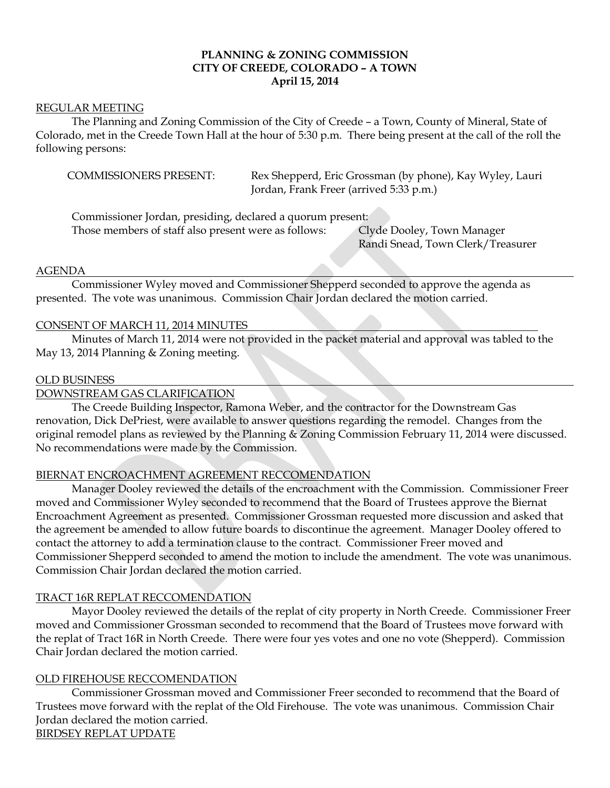## **PLANNING & ZONING COMMISSION CITY OF CREEDE, COLORADO – A TOWN April 15, 2014**

### REGULAR MEETING

The Planning and Zoning Commission of the City of Creede – a Town, County of Mineral, State of Colorado, met in the Creede Town Hall at the hour of 5:30 p.m. There being present at the call of the roll the following persons:

COMMISSIONERS PRESENT: Rex Shepperd, Eric Grossman (by phone), Kay Wyley, Lauri Jordan, Frank Freer (arrived 5:33 p.m.)

Commissioner Jordan, presiding, declared a quorum present:

Those members of staff also present were as follows: Clyde Dooley, Town Manager

Randi Snead, Town Clerk/Treasurer

## AGENDA

Commissioner Wyley moved and Commissioner Shepperd seconded to approve the agenda as presented. The vote was unanimous. Commission Chair Jordan declared the motion carried.

## CONSENT OF MARCH 11, 2014 MINUTES

Minutes of March 11, 2014 were not provided in the packet material and approval was tabled to the May 13, 2014 Planning & Zoning meeting.

## OLD BUSINESS

DOWNSTREAM GAS CLARIFICATION

The Creede Building Inspector, Ramona Weber, and the contractor for the Downstream Gas renovation, Dick DePriest, were available to answer questions regarding the remodel. Changes from the original remodel plans as reviewed by the Planning & Zoning Commission February 11, 2014 were discussed. No recommendations were made by the Commission.

## BIERNAT ENCROACHMENT AGREEMENT RECCOMENDATION

Manager Dooley reviewed the details of the encroachment with the Commission. Commissioner Freer moved and Commissioner Wyley seconded to recommend that the Board of Trustees approve the Biernat Encroachment Agreement as presented. Commissioner Grossman requested more discussion and asked that the agreement be amended to allow future boards to discontinue the agreement. Manager Dooley offered to contact the attorney to add a termination clause to the contract. Commissioner Freer moved and Commissioner Shepperd seconded to amend the motion to include the amendment. The vote was unanimous. Commission Chair Jordan declared the motion carried.

## TRACT 16R REPLAT RECCOMENDATION

Mayor Dooley reviewed the details of the replat of city property in North Creede. Commissioner Freer moved and Commissioner Grossman seconded to recommend that the Board of Trustees move forward with the replat of Tract 16R in North Creede. There were four yes votes and one no vote (Shepperd). Commission Chair Jordan declared the motion carried.

## OLD FIREHOUSE RECCOMENDATION

Commissioner Grossman moved and Commissioner Freer seconded to recommend that the Board of Trustees move forward with the replat of the Old Firehouse. The vote was unanimous. Commission Chair Jordan declared the motion carried. BIRDSEY REPLAT UPDATE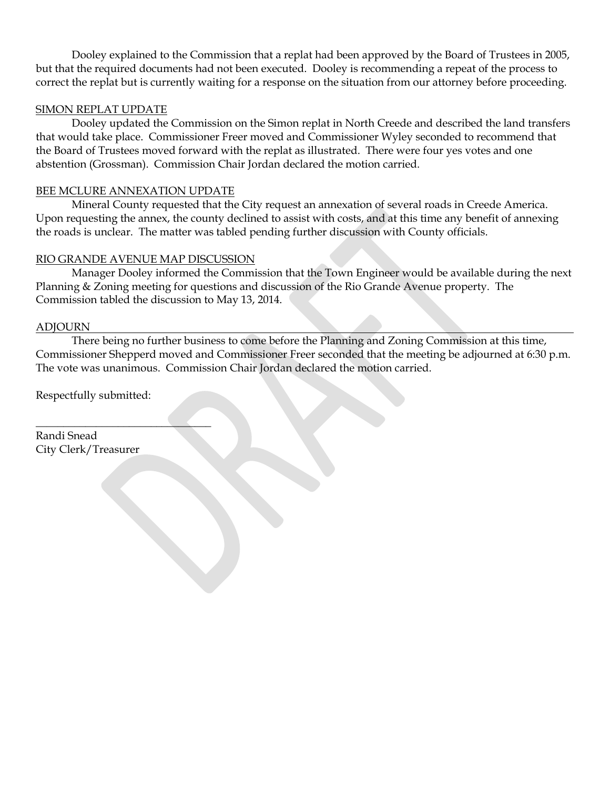Dooley explained to the Commission that a replat had been approved by the Board of Trustees in 2005, but that the required documents had not been executed. Dooley is recommending a repeat of the process to correct the replat but is currently waiting for a response on the situation from our attorney before proceeding.

# SIMON REPLAT UPDATE

Dooley updated the Commission on the Simon replat in North Creede and described the land transfers that would take place. Commissioner Freer moved and Commissioner Wyley seconded to recommend that the Board of Trustees moved forward with the replat as illustrated. There were four yes votes and one abstention (Grossman). Commission Chair Jordan declared the motion carried.

# BEE MCLURE ANNEXATION UPDATE

Mineral County requested that the City request an annexation of several roads in Creede America. Upon requesting the annex, the county declined to assist with costs, and at this time any benefit of annexing the roads is unclear. The matter was tabled pending further discussion with County officials.

## RIO GRANDE AVENUE MAP DISCUSSION

Manager Dooley informed the Commission that the Town Engineer would be available during the next Planning & Zoning meeting for questions and discussion of the Rio Grande Avenue property. The Commission tabled the discussion to May 13, 2014.

## **ADIOURN**

There being no further business to come before the Planning and Zoning Commission at this time, Commissioner Shepperd moved and Commissioner Freer seconded that the meeting be adjourned at 6:30 p.m. The vote was unanimous. Commission Chair Jordan declared the motion carried.

Respectfully submitted:

 $\overline{\phantom{a}}$  , where  $\overline{\phantom{a}}$  , where  $\overline{\phantom{a}}$  ,  $\overline{\phantom{a}}$  ,  $\overline{\phantom{a}}$  ,  $\overline{\phantom{a}}$  ,  $\overline{\phantom{a}}$  ,  $\overline{\phantom{a}}$  ,  $\overline{\phantom{a}}$  ,  $\overline{\phantom{a}}$  ,  $\overline{\phantom{a}}$  ,  $\overline{\phantom{a}}$  ,  $\overline{\phantom{a}}$  ,  $\overline{\phantom{a}}$  ,  $\overline{\phantom{a}}$  ,

Randi Snead City Clerk/Treasurer